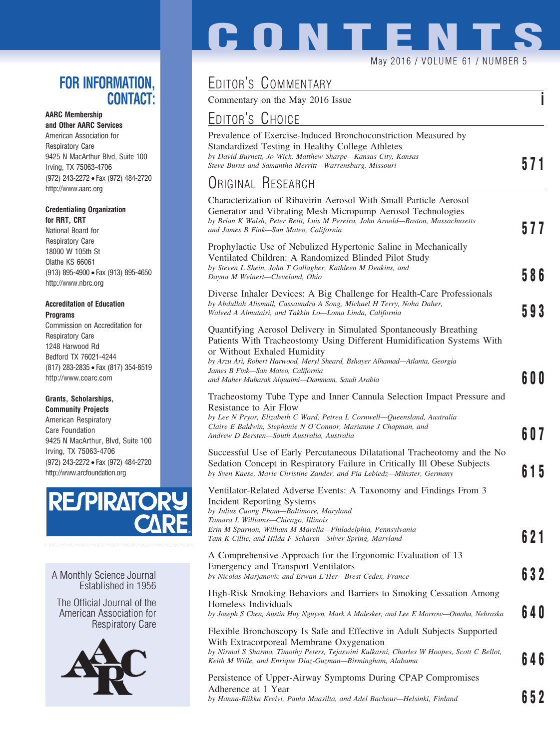### **FOR INFORMATION, CONTACT:**

#### **AARC Membership**

**and Other AARC Services** American Association for Respiratory Care 9425 N MacArthur Blvd, Suite 100 Irving, TX 75063-4706 (972) 243-2272 • Fax (972) 484-2720 http://www.aarc.org

#### **Credentialing Organization for RRT, CRT**

National Board for Respiratory Care 18000 W 105th St Olathe KS 66061 (913) 895-4900 • Fax (913) 895-4650 http://www.nbrc.org

#### **Accreditation of Education Programs**

Commission on Accreditation for Respiratory Care 1248 Harwood Rd Bedford TX 76021-4244 (817) 283-2835 • Fax (817) 354-8519 http://www.coarc.com

#### **Grants, Scholarships,**

**Community Projects** American Respiratory Care Foundation 9425 N MacArthur, Blvd, Suite 100 Irving, TX 75063-4706 (972) 243-2272 • Fax (972) 484-2720 http://www.arcfoundation.org



A Monthly Science Journal Established in 1956

The Official Journal of the American Association for Respiratory Care



# **CONTENTS**

May 2016 / VOLUME 61 / NUMBER 5

## EDITOR'S COMMENTARY

Commentary on the May 2016 Issue **i**

## <u>Editor's Choice</u>

| <b>EDITOR'S UHOICE</b>                                                                                                                                                                                                                                                                                                                             |       |
|----------------------------------------------------------------------------------------------------------------------------------------------------------------------------------------------------------------------------------------------------------------------------------------------------------------------------------------------------|-------|
| Prevalence of Exercise-Induced Bronchoconstriction Measured by<br>Standardized Testing in Healthy College Athletes<br>by David Burnett, Jo Wick, Matthew Sharpe-Kansas City, Kansas<br>Steve Burns and Samantha Merritt—Warrensburg, Missouri                                                                                                      | 571   |
| <b>URIGINAL RESEARCH</b>                                                                                                                                                                                                                                                                                                                           |       |
| Characterization of Ribavirin Aerosol With Small Particle Aerosol<br>Generator and Vibrating Mesh Micropump Aerosol Technologies<br>by Brian K Walsh, Peter Betit, Luis M Pereira, John Arnold-Boston, Massachusetts<br>and James B Fink—San Mateo, California                                                                                     | 577   |
| Prophylactic Use of Nebulized Hypertonic Saline in Mechanically<br>Ventilated Children: A Randomized Blinded Pilot Study<br>by Steven L Shein, John T Gallagher, Kathleen M Deakins, and<br>Dayna M Weinert—Cleveland, Ohio                                                                                                                        | 586   |
| Diverse Inhaler Devices: A Big Challenge for Health-Care Professionals<br>by Abdullah Alismail, Cassaundra A Song, Michael H Terry, Noha Daher,<br>Waleed A Almutairi, and Takkin Lo—Loma Linda, California                                                                                                                                        | 593   |
| Quantifying Aerosol Delivery in Simulated Spontaneously Breathing<br>Patients With Tracheostomy Using Different Humidification Systems With<br>or Without Exhaled Humidity<br>by Arzu Ari, Robert Harwood, Meryl Sheard, Bshayer Alhamad-Atlanta, Georgia<br>James B Fink—San Mateo, California<br>and Maher Mubarak Alquaimi-Dammam, Saudi Arabia | 6 O O |
| Tracheostomy Tube Type and Inner Cannula Selection Impact Pressure and<br>Resistance to Air Flow<br>by Lee N Pryor, Elizabeth C Ward, Petrea L Cornwell—Queensland, Australia<br>Claire E Baldwin, Stephanie N O'Connor, Marianne J Chapman, and<br>Andrew D Bersten—South Australia, Australia                                                    | 607   |
| Successful Use of Early Percutaneous Dilatational Tracheotomy and the No<br>Sedation Concept in Respiratory Failure in Critically Ill Obese Subjects<br>by Sven Kaese, Marie Christine Zander, and Pia Lebiedz-Münster, Germany                                                                                                                    | 615   |
| Ventilator-Related Adverse Events: A Taxonomy and Findings From 3<br>Incident Reporting Systems<br>by Julius Cuong Pham—Baltimore, Maryland<br>Tamara L Williams-Chicago, Illinois<br>Erin M Sparnon, William M Marella—Philadelphia, Pennsylvania<br>Tam K Cillie, and Hilda F Scharen-Silver Spring, Maryland                                    | 6 2 1 |
| A Comprehensive Approach for the Ergonomic Evaluation of 13<br><b>Emergency and Transport Ventilators</b><br>by Nicolas Marjanovic and Erwan L'Her-Brest Cedex, France                                                                                                                                                                             | 632   |
| High-Risk Smoking Behaviors and Barriers to Smoking Cessation Among<br>Homeless Individuals<br>by Joseph S Chen, Austin Huy Nguyen, Mark A Malesker, and Lee E Morrow-Omaha, Nebraska                                                                                                                                                              | 640   |
| Flexible Bronchoscopy Is Safe and Effective in Adult Subjects Supported<br>With Extracorporeal Membrane Oxygenation<br>by Nirmal S Sharma, Timothy Peters, Tejaswini Kulkarni, Charles W Hoopes, Scott C Bellot,<br>Keith M Wille, and Enrique Diaz-Guzman-Birmingham, Alabama                                                                     | 646   |
| Persistence of Upper-Airway Symptoms During CPAP Compromises<br>Adherence at 1 Year<br>by Hanna-Riikka Kreivi, Paula Maasilta, and Adel Bachour—Helsinki, Finland                                                                                                                                                                                  | 652   |